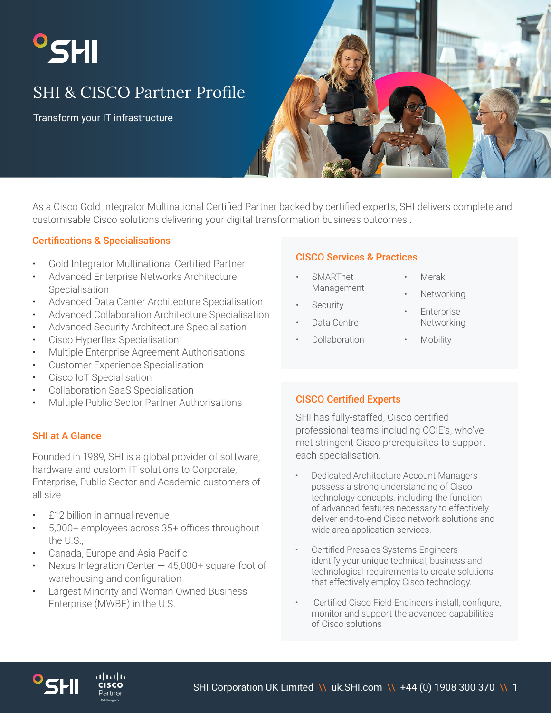# <sup>o</sup>SHI

# SHI & CISCO Partner Profile

Transform your IT infrastructure



As a Cisco Gold Integrator Multinational Certified Partner backed by certified experts, SHI delivers complete and customisable Cisco solutions delivering your digital transformation business outcomes..

# Certifications & Specialisations

- Gold Integrator Multinational Certified Partner
- Advanced Enterprise Networks Architecture Specialisation
- Advanced Data Center Architecture Specialisation
- Advanced Collaboration Architecture Specialisation
- Advanced Security Architecture Specialisation
- Cisco Hyperflex Specialisation
- Multiple Enterprise Agreement Authorisations
- Customer Experience Specialisation
- Cisco IoT Specialisation
- Collaboration SaaS Specialisation
- Multiple Public Sector Partner Authorisations

# SHI at A Glance

Founded in 1989, SHI is a global provider of software, hardware and custom IT solutions to Corporate, Enterprise, Public Sector and Academic customers of all size

- £12 billion in annual revenue
- 5,000+ employees across 35+ offices throughout the U.S.,
- Canada, Europe and Asia Pacific

، با ب با ب

- Nexus Integration Center  $-45,000+$  square-foot of warehousing and configuration
- Largest Minority and Woman Owned Business Enterprise (MWBE) in the U.S.

# CISCO Services & Practices

- SMARTnet Management
- **Security**
- Data Centre
- Collaboration
- Meraki
- **Networking**
- **Enterprise** Networking
- **Mobility**

# CISCO Certified Experts

SHI has fully-staffed, Cisco certified professional teams including CCIE's, who've met stringent Cisco prerequisites to support each specialisation.

- Dedicated Architecture Account Managers possess a strong understanding of Cisco technology concepts, including the function of advanced features necessary to effectively deliver end-to-end Cisco network solutions and wide area application services.
- Certified Presales Systems Engineers identify your unique technical, business and technological requirements to create solutions that effectively employ Cisco technology.
- Certified Cisco Field Engineers install, configure, monitor and support the advanced capabilities of Cisco solutions